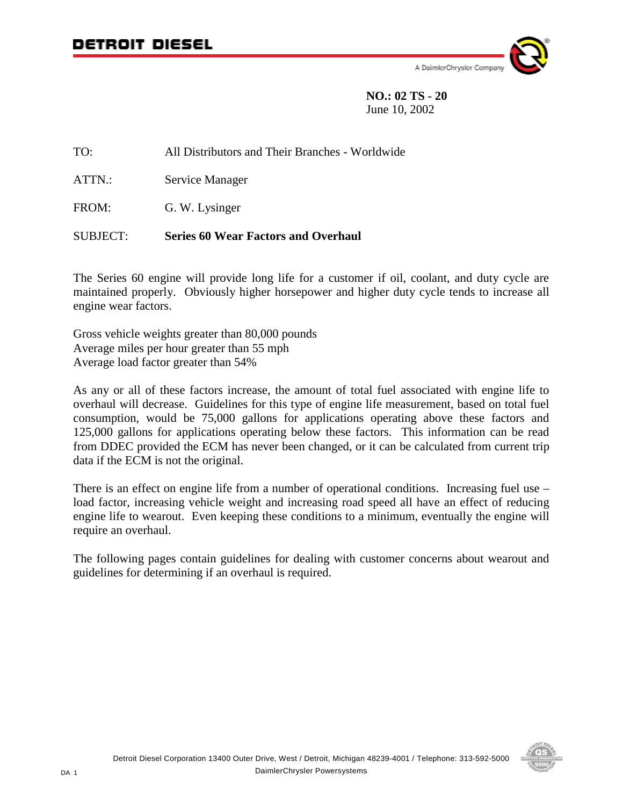

 **NO.: 02 TS - 20** June 10, 2002

TO: All Distributors and Their Branches - Worldwide ATTN.: Service Manager FROM: G. W. Lysinger SUBJECT: **Series 60 Wear Factors and Overhaul**

The Series 60 engine will provide long life for a customer if oil, coolant, and duty cycle are maintained properly. Obviously higher horsepower and higher duty cycle tends to increase all engine wear factors.

Gross vehicle weights greater than 80,000 pounds Average miles per hour greater than 55 mph Average load factor greater than 54%

As any or all of these factors increase, the amount of total fuel associated with engine life to overhaul will decrease. Guidelines for this type of engine life measurement, based on total fuel consumption, would be 75,000 gallons for applications operating above these factors and 125,000 gallons for applications operating below these factors. This information can be read from DDEC provided the ECM has never been changed, or it can be calculated from current trip data if the ECM is not the original.

There is an effect on engine life from a number of operational conditions. Increasing fuel use – load factor, increasing vehicle weight and increasing road speed all have an effect of reducing engine life to wearout. Even keeping these conditions to a minimum, eventually the engine will require an overhaul.

The following pages contain guidelines for dealing with customer concerns about wearout and guidelines for determining if an overhaul is required.

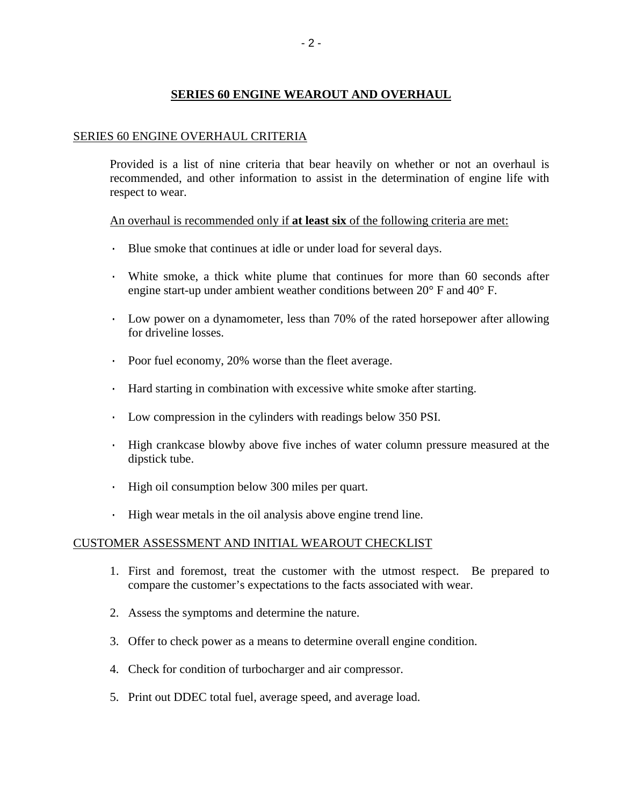# **SERIES 60 ENGINE WEAROUT AND OVERHAUL**

# SERIES 60 ENGINE OVERHAUL CRITERIA

Provided is a list of nine criteria that bear heavily on whether or not an overhaul is recommended, and other information to assist in the determination of engine life with respect to wear.

An overhaul is recommended only if **at least six** of the following criteria are met:

- · Blue smoke that continues at idle or under load for several days.
- White smoke, a thick white plume that continues for more than 60 seconds after engine start-up under ambient weather conditions between 20° F and 40° F.
- · Low power on a dynamometer, less than 70% of the rated horsepower after allowing for driveline losses.
- · Poor fuel economy, 20% worse than the fleet average.
- · Hard starting in combination with excessive white smoke after starting.
- · Low compression in the cylinders with readings below 350 PSI.
- · High crankcase blowby above five inches of water column pressure measured at the dipstick tube.
- · High oil consumption below 300 miles per quart.
- · High wear metals in the oil analysis above engine trend line.

# CUSTOMER ASSESSMENT AND INITIAL WEAROUT CHECKLIST

- 1. First and foremost, treat the customer with the utmost respect. Be prepared to compare the customer's expectations to the facts associated with wear.
- 2. Assess the symptoms and determine the nature.
- 3. Offer to check power as a means to determine overall engine condition.
- 4. Check for condition of turbocharger and air compressor.
- 5. Print out DDEC total fuel, average speed, and average load.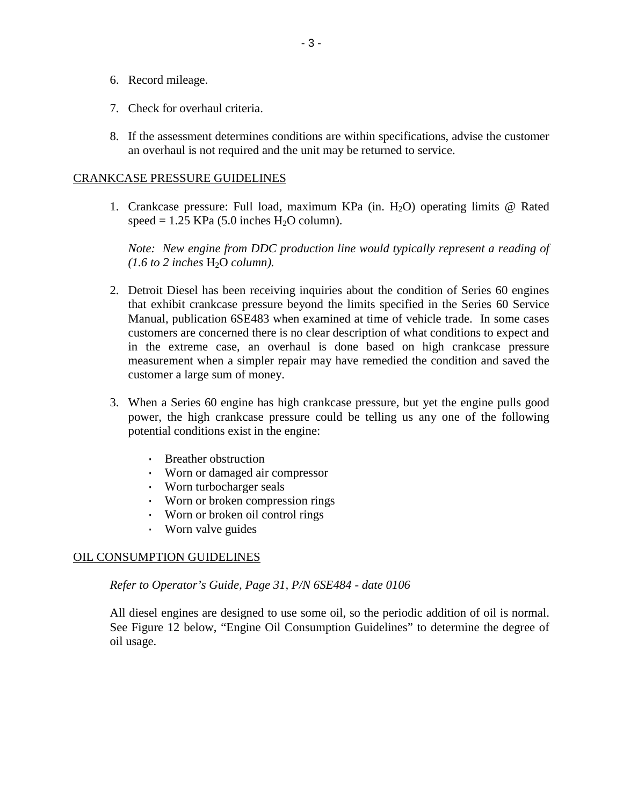- 6. Record mileage.
- 7. Check for overhaul criteria.
- 8. If the assessment determines conditions are within specifications, advise the customer an overhaul is not required and the unit may be returned to service.

# CRANKCASE PRESSURE GUIDELINES

1. Crankcase pressure: Full load, maximum KPa (in.  $H_2O$ ) operating limits @ Rated speed =  $1.25$  KPa (5.0 inches H<sub>2</sub>O column).

*Note: New engine from DDC production line would typically represent a reading of*   $(1.6 \text{ to } 2 \text{ inches } H_2O \text{ column}).$ 

- 2. Detroit Diesel has been receiving inquiries about the condition of Series 60 engines that exhibit crankcase pressure beyond the limits specified in the Series 60 Service Manual, publication 6SE483 when examined at time of vehicle trade. In some cases customers are concerned there is no clear description of what conditions to expect and in the extreme case, an overhaul is done based on high crankcase pressure measurement when a simpler repair may have remedied the condition and saved the customer a large sum of money.
- 3. When a Series 60 engine has high crankcase pressure, but yet the engine pulls good power, the high crankcase pressure could be telling us any one of the following potential conditions exist in the engine:
	- · Breather obstruction
	- · Worn or damaged air compressor
	- · Worn turbocharger seals
	- · Worn or broken compression rings
	- · Worn or broken oil control rings
	- · Worn valve guides

## OIL CONSUMPTION GUIDELINES

*Refer to Operator's Guide, Page 31, P/N 6SE484 - date 0106* 

All diesel engines are designed to use some oil, so the periodic addition of oil is normal. See Figure 12 below, "Engine Oil Consumption Guidelines" to determine the degree of oil usage.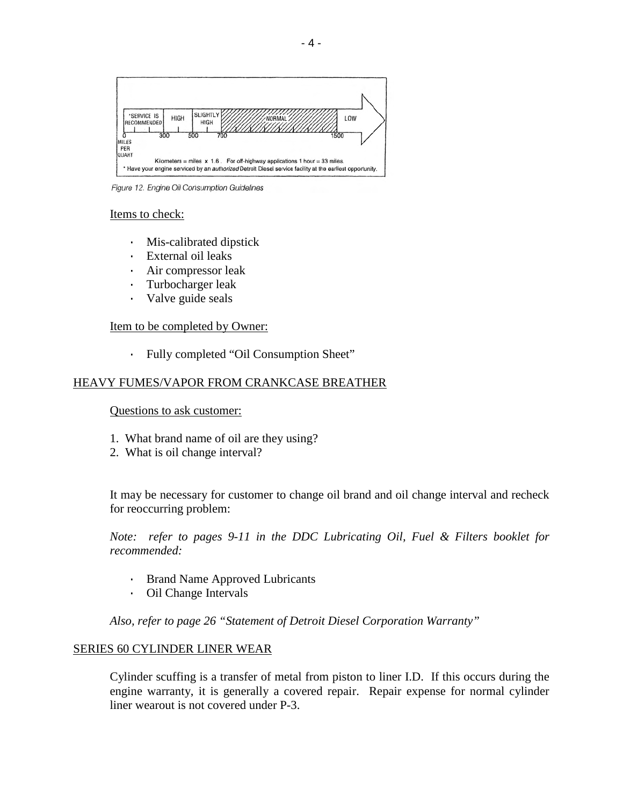

Figure 12. Engine Oil Consumption Guidelines

#### Items to check:

- · Mis-calibrated dipstick
- · External oil leaks
- · Air compressor leak
- · Turbocharger leak
- · Valve guide seals

# Item to be completed by Owner:

· Fully completed "Oil Consumption Sheet"

# HEAVY FUMES/VAPOR FROM CRANKCASE BREATHER

## Questions to ask customer:

- 1. What brand name of oil are they using?
- 2. What is oil change interval?

It may be necessary for customer to change oil brand and oil change interval and recheck for reoccurring problem:

*Note: refer to pages 9-11 in the DDC Lubricating Oil, Fuel & Filters booklet for recommended:* 

- Brand Name Approved Lubricants
- · Oil Change Intervals

 *Also, refer to page 26 "Statement of Detroit Diesel Corporation Warranty"* 

## SERIES 60 CYLINDER LINER WEAR

Cylinder scuffing is a transfer of metal from piston to liner I.D. If this occurs during the engine warranty, it is generally a covered repair. Repair expense for normal cylinder liner wearout is not covered under P-3.